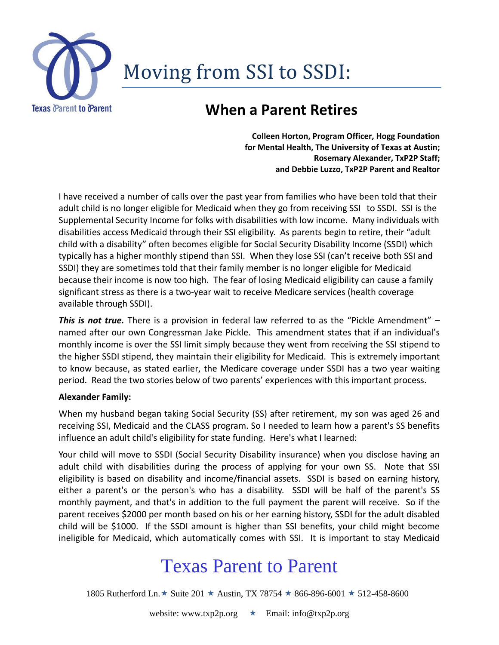

# Moving from SSI to SSDI:

#### **When a Parent Retires**

**Colleen Horton, Program Officer, Hogg Foundation for Mental Health, The University of Texas at Austin; Rosemary Alexander, TxP2P Staff; and Debbie Luzzo, TxP2P Parent and Realtor**

I have received a number of calls over the past year from families who have been told that their adult child is no longer eligible for Medicaid when they go from receiving SSI to SSDI. SSI is the Supplemental Security Income for folks with disabilities with low income. Many individuals with disabilities access Medicaid through their SSI eligibility. As parents begin to retire, their "adult child with a disability" often becomes eligible for Social Security Disability Income (SSDI) which typically has a higher monthly stipend than SSI. When they lose SSI (can't receive both SSI and SSDI) they are sometimes told that their family member is no longer eligible for Medicaid because their income is now too high. The fear of losing Medicaid eligibility can cause a family significant stress as there is a two-year wait to receive Medicare services (health coverage available through SSDI).

*This is not true.* There is a provision in federal law referred to as the "Pickle Amendment" – named after our own Congressman Jake Pickle. This amendment states that if an individual's monthly income is over the SSI limit simply because they went from receiving the SSI stipend to the higher SSDI stipend, they maintain their eligibility for Medicaid. This is extremely important to know because, as stated earlier, the Medicare coverage under SSDI has a two year waiting period. Read the two stories below of two parents' experiences with this important process.

#### **Alexander Family:**

When my husband began taking Social Security (SS) after retirement, my son was aged 26 and receiving SSI, Medicaid and the CLASS program. So I needed to learn how a parent's SS benefits influence an adult child's eligibility for state funding. Here's what I learned:

Your child will move to SSDI (Social Security Disability insurance) when you disclose having an adult child with disabilities during the process of applying for your own SS. Note that SSI eligibility is based on disability and income/financial assets. SSDI is based on earning history, either a parent's or the person's who has a disability. SSDI will be half of the parent's SS monthly payment, and that's in addition to the full payment the parent will receive. So if the parent receives \$2000 per month based on his or her earning history, SSDI for the adult disabled child will be \$1000. If the SSDI amount is higher than SSI benefits, your child might become ineligible for Medicaid, which automatically comes with SSI. It is important to stay Medicaid

## Texas Parent to Parent

1805 Rutherford Ln.  $\star$  Suite 201  $\star$  Austin, TX 78754  $\star$  866-896-6001  $\star$  512-458-8600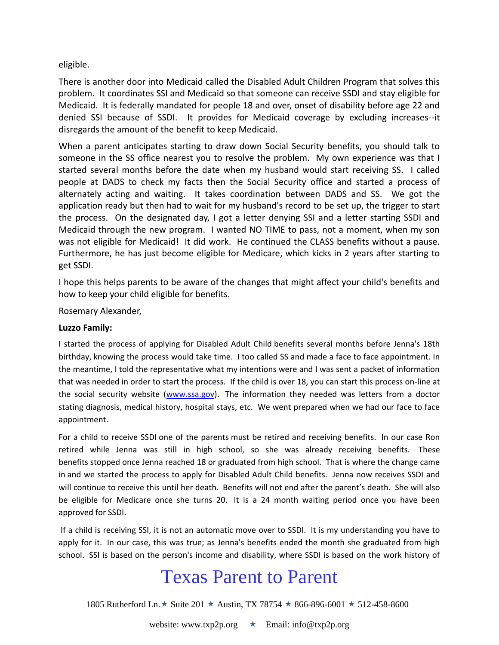eligible.

There is another door into Medicaid called the Disabled Adult Children Program that solves this problem. It coordinates SSI and Medicaid so that someone can receive SSDI and stay eligible for Medicaid. It is federally mandated for people 18 and over, onset of disability before age 22 and denied SSI because of SSDI. It provides for Medicaid coverage by excluding increases--it disregards the amount of the benefit to keep Medicaid.

When a parent anticipates starting to draw down Social Security benefits, you should talk to someone in the SS office nearest you to resolve the problem. My own experience was that I started several months before the date when my husband would start receiving SS. I called people at DADS to check my facts then the Social Security office and started a process of alternately acting and waiting. It takes coordination between DADS and SS. We got the application ready but then had to wait for my husband's record to be set up, the trigger to start the process. On the designated day, I got a letter denying SSI and a letter starting SSDI and Medicaid through the new program. I wanted NO TIME to pass, not a moment, when my son was not eligible for Medicaid! It did work. He continued the CLASS benefits without a pause. Furthermore, he has just become eligible for Medicare, which kicks in 2 years after starting to get SSDI.

I hope this helps parents to be aware of the changes that might affect your child's benefits and how to keep your child eligible for benefits.

Rosemary Alexander,

#### **Luzzo Family:**

I started the process of applying for Disabled Adult Child benefits several months before Jenna's 18th birthday, knowing the process would take time. I too called SS and made a face to face appointment. In the meantime, I told the representative what my intentions were and I was sent a packet of information that was needed in order to start the process. If the child is over 18, you can start this process on-line at the social security website [\(www.ssa.gov\)](www.ssa.gov). The information they needed was letters from a doctor stating diagnosis, medical history, hospital stays, etc. We went prepared when we had our face to face appointment.

For a child to receive SSDI one of the parents must be retired and receiving benefits. In our case Ron retired while Jenna was still in high school, so she was already receiving benefits. These benefits stopped once Jenna reached 18 or graduated from high school. That is where the change came in and we started the process to apply for Disabled Adult Child benefits. Jenna now receives SSDI and will continue to receive this until her death. Benefits will not end after the parent's death. She will also be eligible for Medicare once she turns 20. It is a 24 month waiting period once you have been approved for SSDI.

If a child is receiving SSI, it is not an automatic move over to SSDI. It is my understanding you have to apply for it. In our case, this was true; as Jenna's benefits ended the month she graduated from high school. SSI is based on the person's income and disability, where SSDI is based on the work history of

### Texas Parent to Parent

1805 Rutherford Ln.  $\star$  Suite 201  $\star$  Austin, TX 78754  $\star$  866-896-6001  $\star$  512-458-8600